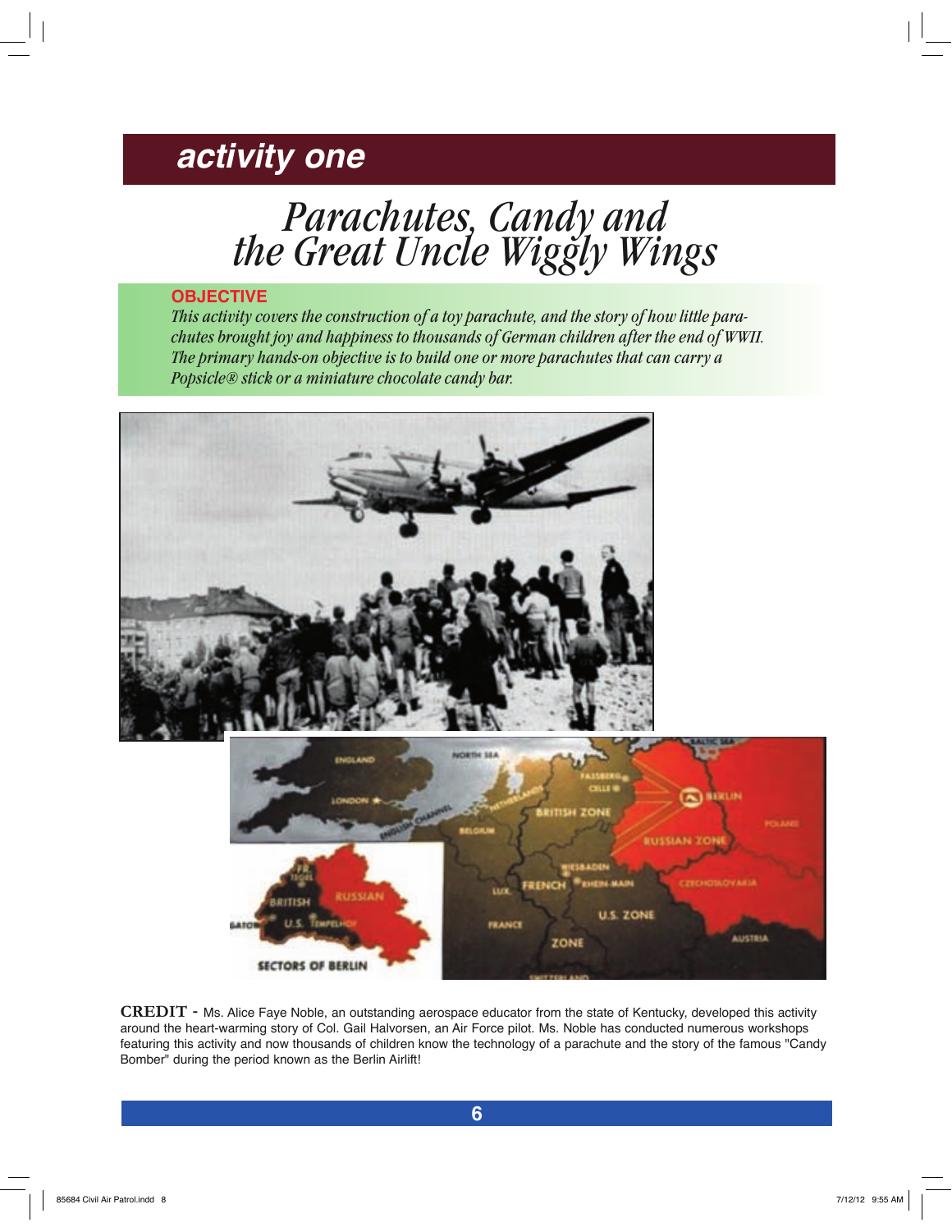# *activity one*

*Parachutes, Candy and the Great Uncle Wiggly Wings*

### **OBJECTIVE**

*This activity covers the construction of a toy parachute, and the story of how little parachutes brought joy and happiness to thousands of German children after the end of WWII. The primary hands-on objective is to build one or more parachutes that can carry a Popsicle® stick or a miniature chocolate candy bar.* 



**CREDIT** - Ms. Alice Faye Noble, an outstanding aerospace educator from the state of Kentucky, developed this activity around the heart-warming story of Col. Gail Halvorsen, an Air Force pilot. Ms. Noble has conducted numerous workshops featuring this activity and now thousands of children know the technology of a parachute and the story of the famous "Candy Bomber" during the period known as the Berlin Airlift!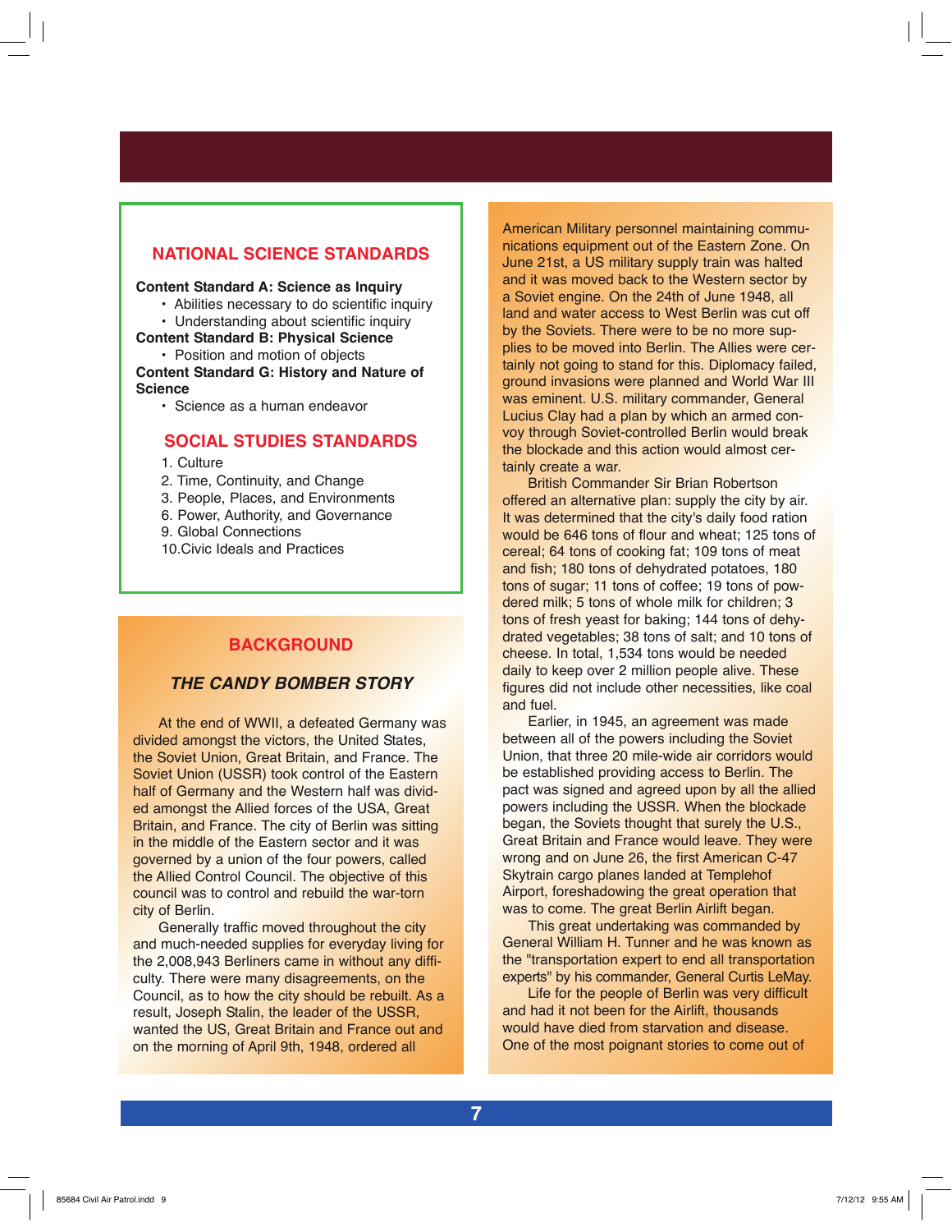### **NATIONAL SCIENCE STANDARDS**

#### **Content Standard A: Science as Inquiry**

• Abilities necessary to do scientific inquiry

• Understanding about scientific inquiry **Content Standard B: Physical Science**

• Position and motion of objects **Content Standard G: History and Nature of Science**

• Science as a human endeavor

### **SOCIAL STUDIES STANDARDS**

1. Culture

- 2. Time, Continuity, and Change
- 3. People, Places, and Environments
- 6. Power, Authority, and Governance
- 9. Global Connections
- 10.Civic Ideals and Practices

### **BACKGROUND**

### *THE CANDY BOMBER STORY*

At the end of WWII, a defeated Germany was divided amongst the victors, the United States, the Soviet Union, Great Britain, and France. The Soviet Union (USSR) took control of the Eastern half of Germany and the Western half was divided amongst the Allied forces of the USA, Great Britain, and France. The city of Berlin was sitting in the middle of the Eastern sector and it was governed by a union of the four powers, called the Allied Control Council. The objective of this council was to control and rebuild the war-torn city of Berlin.

Generally traffic moved throughout the city and much-needed supplies for everyday living for the 2,008,943 Berliners came in without any difficulty. There were many disagreements, on the Council, as to how the city should be rebuilt. As a result, Joseph Stalin, the leader of the USSR, wanted the US, Great Britain and France out and on the morning of April 9th, 1948, ordered all

American Military personnel maintaining communications equipment out of the Eastern Zone. On June 21st, a US military supply train was halted and it was moved back to the Western sector by a Soviet engine. On the 24th of June 1948, all land and water access to West Berlin was cut off by the Soviets. There were to be no more supplies to be moved into Berlin. The Allies were certainly not going to stand for this. Diplomacy failed, ground invasions were planned and World War III was eminent. U.S. military commander, General Lucius Clay had a plan by which an armed convoy through Soviet-controlled Berlin would break the blockade and this action would almost certainly create a war.

British Commander Sir Brian Robertson offered an alternative plan: supply the city by air. It was determined that the city's daily food ration would be 646 tons of flour and wheat; 125 tons of cereal; 64 tons of cooking fat; 109 tons of meat and fish; 180 tons of dehydrated potatoes, 180 tons of sugar; 11 tons of coffee; 19 tons of powdered milk; 5 tons of whole milk for children; 3 tons of fresh yeast for baking; 144 tons of dehydrated vegetables; 38 tons of salt; and 10 tons of cheese. In total, 1,534 tons would be needed daily to keep over 2 million people alive. These figures did not include other necessities, like coal and fuel.

Earlier, in 1945, an agreement was made between all of the powers including the Soviet Union, that three 20 mile-wide air corridors would be established providing access to Berlin. The pact was signed and agreed upon by all the allied powers including the USSR. When the blockade began, the Soviets thought that surely the U.S., Great Britain and France would leave. They were wrong and on June 26, the first American C-47 Skytrain cargo planes landed at Templehof Airport, foreshadowing the great operation that was to come. The great Berlin Airlift began.

This great undertaking was commanded by General William H. Tunner and he was known as the "transportation expert to end all transportation experts" by his commander, General Curtis LeMay.

Life for the people of Berlin was very difficult and had it not been for the Airlift, thousands would have died from starvation and disease. One of the most poignant stories to come out of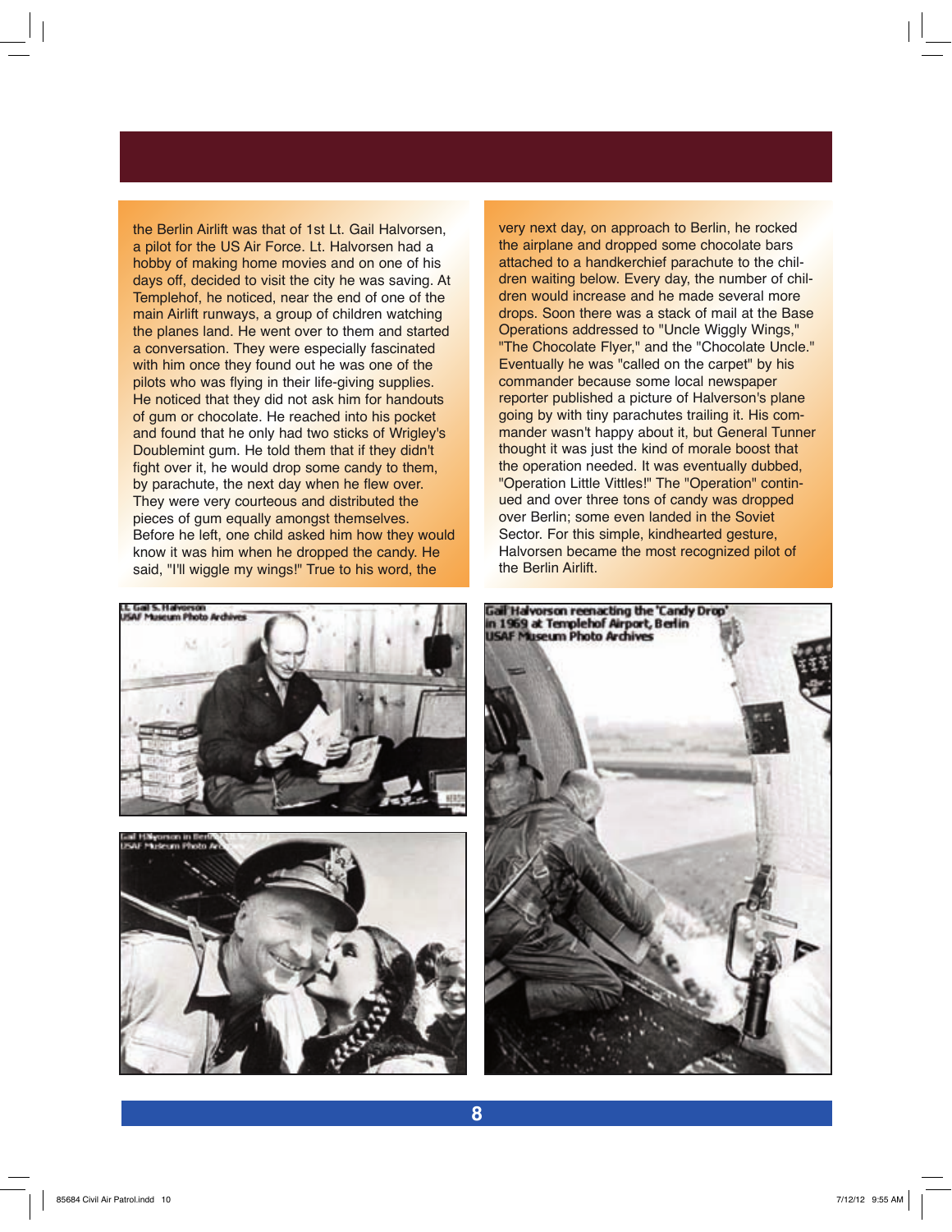the Berlin Airlift was that of 1st Lt. Gail Halvorsen, a pilot for the US Air Force. Lt. Halvorsen had a hobby of making home movies and on one of his days off, decided to visit the city he was saving. At Templehof, he noticed, near the end of one of the main Airlift runways, a group of children watching the planes land. He went over to them and started a conversation. They were especially fascinated with him once they found out he was one of the pilots who was flying in their life-giving supplies. He noticed that they did not ask him for handouts of gum or chocolate. He reached into his pocket and found that he only had two sticks of Wrigley's Doublemint gum. He told them that if they didn't fight over it, he would drop some candy to them, by parachute, the next day when he flew over. They were very courteous and distributed the pieces of gum equally amongst themselves. Before he left, one child asked him how they would know it was him when he dropped the candy. He said, "I'll wiggle my wings!" True to his word, the





very next day, on approach to Berlin, he rocked the airplane and dropped some chocolate bars attached to a handkerchief parachute to the children waiting below. Every day, the number of children would increase and he made several more drops. Soon there was a stack of mail at the Base Operations addressed to "Uncle Wiggly Wings," "The Chocolate Flyer," and the "Chocolate Uncle." Eventually he was "called on the carpet" by his commander because some local newspaper reporter published a picture of Halverson's plane going by with tiny parachutes trailing it. His commander wasn't happy about it, but General Tunner thought it was just the kind of morale boost that the operation needed. It was eventually dubbed, "Operation Little Vittles!" The "Operation" continued and over three tons of candy was dropped over Berlin; some even landed in the Soviet Sector. For this simple, kindhearted gesture. Halvorsen became the most recognized pilot of the Berlin Airlift.

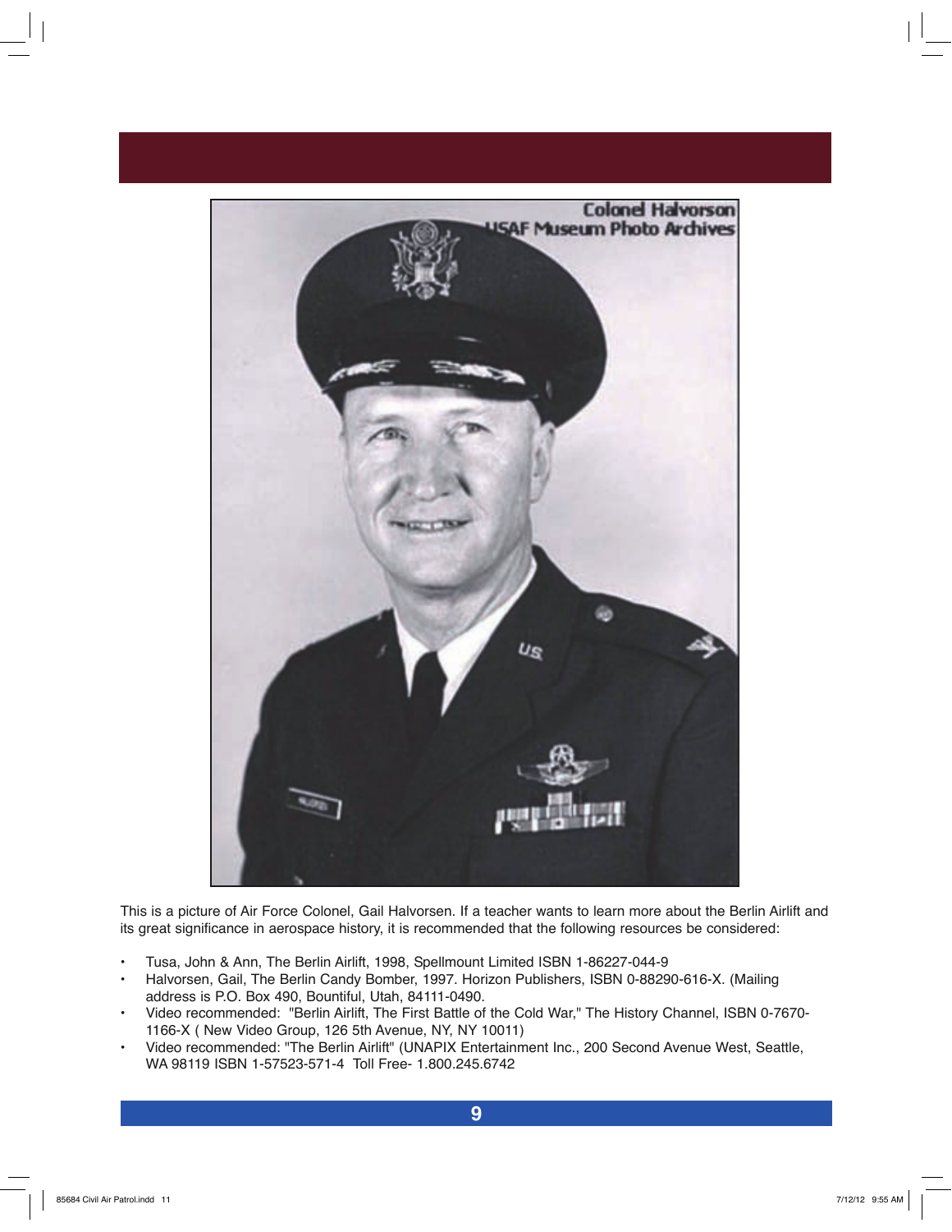

This is a picture of Air Force Colonel, Gail Halvorsen. If a teacher wants to learn more about the Berlin Airlift and its great significance in aerospace history, it is recommended that the following resources be considered:

- \* Tusa, John & Ann, The Berlin Airlift, 1998, Spellmount Limited ISBN 1-86227-044-9
- Halvorsen, Gail, The Berlin Candy Bomber, 1997. Horizon Publishers, ISBN 0-88290-616-X. (Mailing address is P.O. Box 490, Bountiful, Utah, 84111-0490.
- Video recommended: "Berlin Airlift, The First Battle of the Cold War," The History Channel, ISBN 0-7670-1166-X ( New Video Group, 126 5th Avenue, NY, NY 10011)
- Video recommended: "The Berlin Airlift" (UNAPIX Entertainment Inc., 200 Second Avenue West, Seattle, WA 98119 ISBN 1-57523-571-4 Toll Free- 1.800.245.6742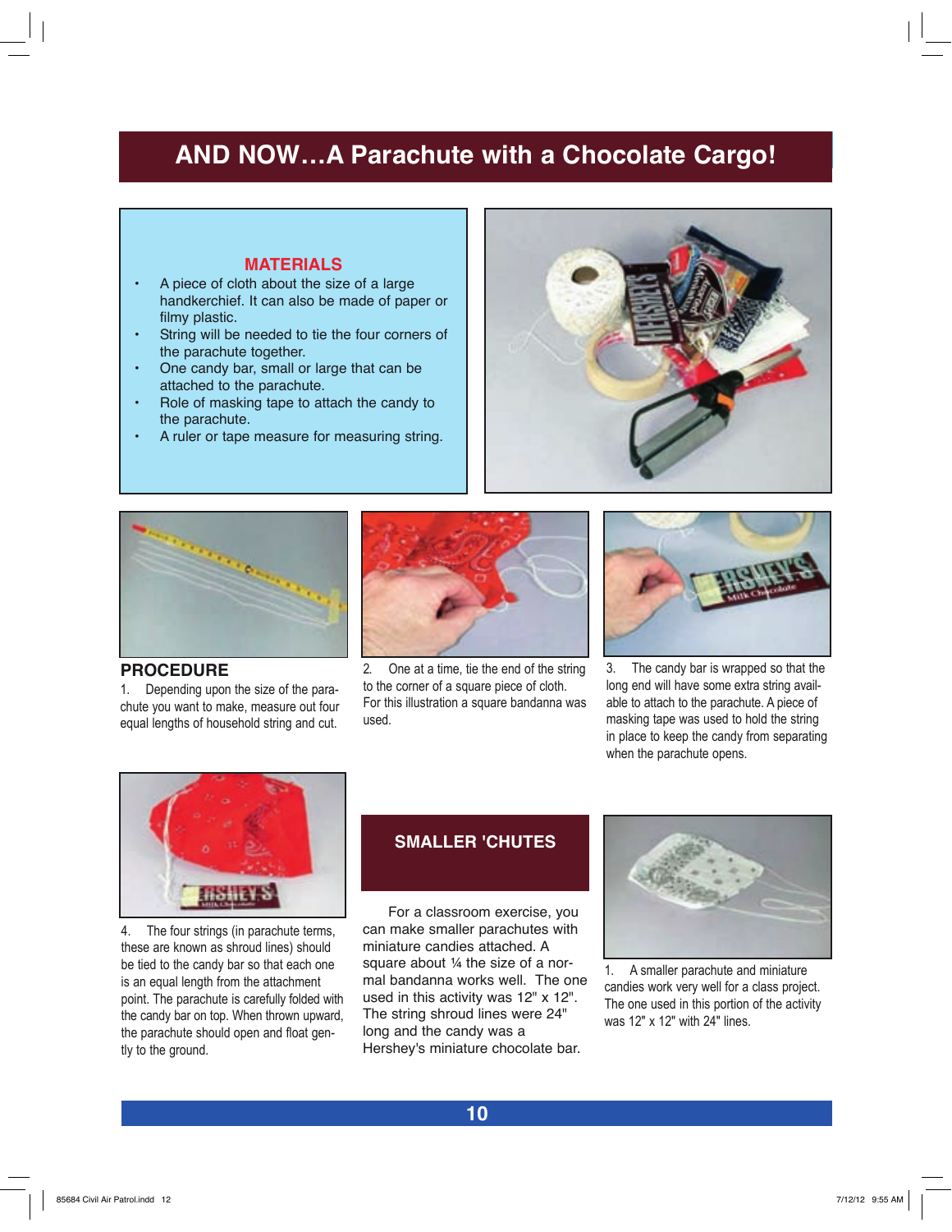## **AND NOW…A Parachute with a Chocolate Cargo!**

### **MATERIALS**

- A piece of cloth about the size of a large handkerchief. It can also be made of paper or filmy plastic.
- String will be needed to tie the four corners of the parachute together.
- One candy bar, small or large that can be attached to the parachute.
- Role of masking tape to attach the candy to the parachute.
- A ruler or tape measure for measuring string.





### **PROCEDURE**

1. Depending upon the size of the parachute you want to make, measure out four equal lengths of household string and cut.



2. One at a time, tie the end of the string to the corner of a square piece of cloth. For this illustration a square bandanna was used.



3. The candy bar is wrapped so that the long end will have some extra string available to attach to the parachute. A piece of masking tape was used to hold the string in place to keep the candy from separating when the parachute opens.



4. The four strings (in parachute terms, these are known as shroud lines) should be tied to the candy bar so that each one is an equal length from the attachment point. The parachute is carefully folded with the candy bar on top. When thrown upward, the parachute should open and float gently to the ground.

### **SMALLER 'CHUTES**

For a classroom exercise, you can make smaller parachutes with miniature candies attached. A square about ¼ the size of a normal bandanna works well. The one used in this activity was 12" x 12". The string shroud lines were 24" long and the candy was a Hershey's miniature chocolate bar.



1. A smaller parachute and miniature candies work very well for a class project. The one used in this portion of the activity was 12" x 12" with 24" lines.